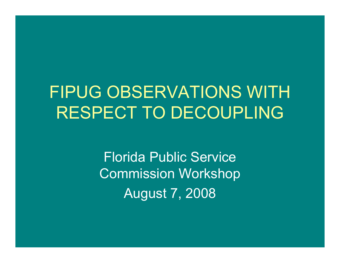### FIPUG OBSERVATIONS WITH RESPECT TO DECOUPLING

Florida Public Service Commission Workshop August 7, 2008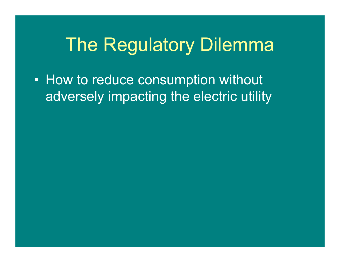# The Regulatory Dilemma

• How to reduce consumption without adversely impacting the electric utility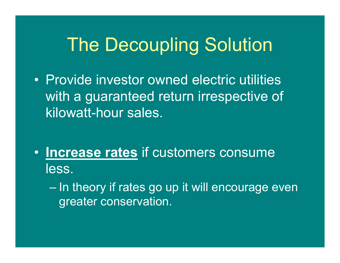# The Decoupling Solution

• Provide investor owned electric utilities with a guaranteed return irrespective of kilowatt-hour sales.

• **Increase rates** if customers consume less.

 In theory if rates go up it will encourage even greater conservation.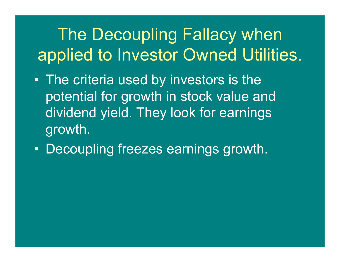# The Decoupling Fallacy when applied to Investor Owned Utilities.

- The criteria used by investors is the potential for growth in stock value and dividend yield. They look for earnings growth.
- $\bullet$ Decoupling freezes earnings growth.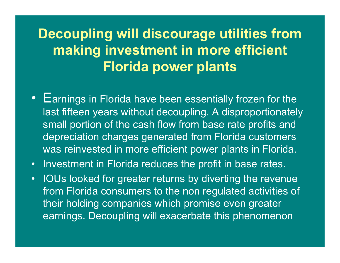### **Decoupling will discourage utilities from making investment in more efficient Florida power plants**

- Earnings in Florida have been essentially frozen for the last fifteen years without decoupling. A disproportionately small portion of the cash flow from base rate profits and depreciation charges generated from Florida customers was reinvested in more efficient power plants in Florida.
- •Investment in Florida reduces the profit in base rates.
- • IOUs looked for greater returns by diverting the revenue from Florida consumers to the non regulated activities of their holding companies which promise even greater earnings. Decoupling will exacerbate this phenomenon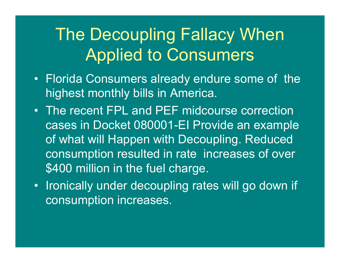### The Decoupling Fallacy When Applied to Consumers

- Florida Consumers already endure some of the highest monthly bills in America.
- The recent FPL and PEF midcourse correction cases in Docket 080001-EI Provide an example of what will Happen with Decoupling. Reduced consumption resulted in rate increases of over \$400 million in the fuel charge.
- Ironically under decoupling rates will go down if consumption increases.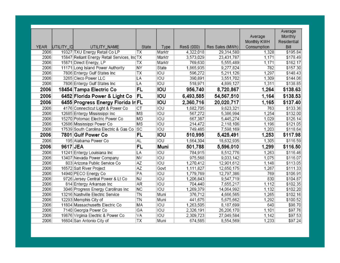|             |            |                                              |           |        |             |                 | Average<br>Monthly KWH | Average<br>Monthly<br>Residential |
|-------------|------------|----------------------------------------------|-----------|--------|-------------|-----------------|------------------------|-----------------------------------|
| <b>YEAR</b> | UTILITY ID | UTILITY NAME                                 | State     | Type   | Res\$ (000) | Res Sales (MWh) | Consumption            | Bill                              |
| 2006        |            | 19327 TXU Energy Retail Co LP                | ТX        | Marktr | 4,322,018   | 29,314,580      | 1.328                  | \$195.84                          |
| 2006        |            | 15847 Reliant Energy Retail Services, Inc TX |           | Marktr | 3,573,029   | 23,431,787      | 1,171                  | \$178.49                          |
| 2006        |            | 15871 Direct Energy, LP                      | ТX        | Marktr | 769,630     | 5,555,489       | 1,171                  | \$162.17                          |
| 2006        |            | 11171 Long Island Power Authority            | <b>NY</b> | State  | 1,865,935   | 9,277,824       | 782                    | \$157.30                          |
| 2006        |            | 7806 Entergy Gulf States Inc                 | ТX        | IOU    | 596,272     | 5,211,126       | 1,297                  | \$148.43                          |
| 2006        |            | 3265 Cleco Power LLC                         | LA        | IOU    | 390,891     | 3,551,702       | 1,309                  | \$144.06                          |
| 2006        |            | 7806 Entergy Gulf States Inc                 | LA        | IOU    | 518,971     | 4,899,127       | 1,311                  | \$138.85                          |
| 2006        |            | 18454 Tampa Electric Co                      | FL        | IOU    | 956,740     | 8,720,867       | 1,264                  | \$138.63                          |
| 2006        |            | 6452 Florida Power & Light Co                | FL        | IOU    | 6,493,585   | 54,567,510      | 1,164                  | \$138.53                          |
| 2006        |            | 6455 Progress Energy Florida In FL           |           | IOU    | 2,360,716   | 20,020,717      | 1,165                  | \$137.40                          |
| 2006        |            | 4176 Connecticut Light & Power Co            | СT        | IOU    | 1,682,705   | 9,623,321       | 763                    | \$133.36                          |
| 2006        |            | 12685 Entergy Mississippi Inc                | MS        | IOU    | 567,272     | 5,386,994       | 1,254                  | \$132.00                          |
| 2006        |            | 15270 Potomac Electric Power Co              | MD        | IOU    | 667,387     | 5,445,274       | 1,029                  | \$126.14                          |
| 2006        |            | 12686 Mississippi Power Co                   | MS        | IOU    | 214,472     | 2,118,106       | 1,196                  | \$121.05                          |
| 2006        |            | 17539 South Carolina Electric & Gas Co       | SC        | IOU    | 749,485     | 7,598,169       | 1,203                  | \$118.64                          |
| 2006        |            | 7801 Gulf Power Co                           | FL        | IOU    | 510,995     | 5,425,491       | 1,253                  | \$117.98                          |
| 2006        |            | 195 Alabama Power Co                         | <b>AL</b> | IOU    | 1,664,304   | 18,632,935      | 1,305                  | \$116.59                          |
| 2006        | 9617 JEA   |                                              | <b>FL</b> | Muni   | 501,788     | 5,596,010       | 1,299                  | \$116.50                          |
| 2006        |            | 11241 Entergy Louisiana Inc                  | LA        | IOU    | 784,915     | 8,512,776       | 1,263                  | \$116.46                          |
| 2006        |            | 13407 Nevada Power Company                   | <b>NV</b> | IOU    | 975,568     | 9,033,142       | 1,075                  | \$116.07                          |
| 2006        |            | 803 Arizona Public Service Co                | ΑZ        | IOU    | 1,270,412   | 12,901,612      | 1,148                  | \$113.05                          |
| 2006        |            | 16572 Salt River Project                     | AZ        | Govt   | 1,111,827   | 12,650,175      | 1,267                  | \$111.33                          |
| 2006        |            | 14940 PECO Energy Co                         | PA        | IOU    | 1,779,769   | 12,797,386      | 769                    | \$106.91                          |
| 2006        |            | 9726 Jersey Central Power & Lt Co            | <b>NJ</b> | IOU    | 1,206,843   | 9,547,719       | 830                    | \$104.87                          |
| 2006        |            | 814 Entergy Arkansas Inc                     | AR        | IOU    | 704,440     | 7,655,217       | 1,112                  | \$102.35                          |
| 2006        |            | 3046 Progress Energy Carolinas Inc           | <b>NC</b> | IOU    | 1,269,379   | 14,064,992      | 1,132                  | \$102.20                          |
| 2006        |            | 13216 Nashville Electric Service             | TN        | Muni   | 376,712     | 4,666,565       | 1,265                  | \$102.16                          |
| 2006        |            | 12293 Memphis City of                        | TN        | Muni   | 441,675     | 5,675,662       | 1.292                  | \$100.52                          |
| 2006        |            | 11804 Massachusetts Electric Co              | MA        | IOU    | 1,263,505   | 8,187,699       | 640                    | \$98.70                           |
| 2006        |            | 7140 Georgia Power Co                        | GA        | IOU    | 2,326,191   | 26,206,170      | 1,101                  | \$97.76                           |
| 2006        |            | 19876 Virginia Electric & Power Co           | VA        | IOU    | 2,309,723   | 27,049,584      | 1,142                  | \$97.53                           |
| 2006        |            | 16604 San Antonio City of                    | ТX        | Muni   | 674,585     | 8,554,569       | 1,233                  | \$97.24                           |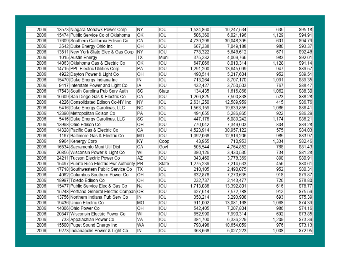| 2006<br>13573 Niagara Mohawk Power Corp<br>NΥ<br>IOU<br>1,534,860<br>10,247,534<br>635<br>2006<br>IOU<br>OK<br>506,360<br>6,021,196<br>1,129<br>15474 Public Service Co of Oklahoma<br>2006<br>IOU<br>CA<br>601<br>17609 Southern California Edison Co<br>4,739,296<br>30,048,395<br>2006<br>OH<br>IOU<br>986<br>3542 Duke Energy Ohio Inc<br>667,338<br>7,049,188<br>2006<br><b>NY</b><br>IOU<br>671<br>13511 New York State Elec & Gas Corp<br>778,322<br>5,648,612<br>2006<br>1015 Austin Energy<br>ТX<br>Muni<br>375,232<br>4,009,766<br>983<br>2006<br>IOU<br>14063 Oklahoma Gas & Electric Co<br>ΟK<br>647,066<br>8,010,314<br>1,128<br>2006<br>IOU<br>PA<br>947<br>14715 PPL Electric Utilities Corp<br>1,291,200<br>13,645,099<br>2006<br>IOU<br>952<br>ОH<br>5,217,604<br>4922 Dayton Power & Light Co<br>490,514<br>IOU<br>2006<br>15470 Duke Energy Indiana Inc<br>IN<br>713,264<br>8,707,170<br>1,091<br>IOU<br>2006<br>767<br>9417 Interstate Power and Light Co<br>432,427<br>3,750,503<br>ΙA<br>2006<br>SC<br>State<br>17543 South Carolina Pub Serv Auth<br>134,435<br>1,616,868<br>1,062<br>2006<br>CA<br>IOU<br>16609 San Diego Gas & Electric Co<br>1,266,825<br>523<br>7,500,838<br>2006<br>IOU<br>NΥ<br>4226 Consolidated Edison Co-NY Inc<br>2,631,250<br>12,589,959<br>415<br>IOU<br>2006<br>ΝC<br>5416 Duke Energy Carolinas, LLC<br>1,563,159<br>19,639,855<br>1,086<br>IOU<br>2006<br>PA<br>922<br>12390 Metropolitan Edison Co<br>494,655<br>5,286,865<br>2006<br>SC<br>IOU<br>5416 Duke Energy Carolinas, LLC<br>447,178<br>6,089,242<br>1,174<br>2006<br>ОH<br>IOU<br>13998 Ohio Edison Co<br>7,349,003<br>804<br>770,042<br>2006<br>IOU<br>575<br>14328 Pacific Gas & Electric Co<br>СA<br>30,957,122<br>4,523,914<br>2006<br><b>IOU</b><br>1167 Baltimore Gas & Electric Co<br>MD<br>985<br>1,092,068<br>12,816,206<br>2006<br>9964 Kenergy Corp<br>ΚY<br>Coop<br>710,953<br>1,334<br>43,955<br>2006<br>CA<br>Govt<br>505,544<br>4,764,852<br>768<br>16534 Sacramento Muni Util Dist<br>2006<br>WI<br><b>IOU</b><br>734<br>20856 Wisconsin Power & Light Co<br>380,126<br>3,430,535<br><b>IOU</b><br>2006<br>AΖ<br>890<br>24211 Tucson Electric Power Co<br>343,460<br>3,778,369<br>2006<br>15497 Puerto Rico Electric Pwr Authority<br>PR<br>State<br>456<br>1,275,239<br>7,214,533<br>2006<br>IOU<br>952<br>17718 Southwestern Public Service Co<br>ТX<br>210,105<br>2,490,075<br>2006<br>OH<br>IOU<br>4062 Columbus Southern Power Co<br>632,878<br>7,270,635<br>918<br>2006<br>OH<br>IOU<br>18997 Toledo Edison Co<br>232,737<br>2,143,477<br>726<br>2006<br>IOU<br>15477 Public Service Elec & Gas Co<br>NJ<br>13,392,801<br>616<br>1,713,088<br>2006<br><b>IOU</b><br>15248 Portland General Electric Compan OR<br>627,614<br>7,572,788<br>912<br>IOU<br>2006<br>693<br>13756 Northern Indiana Pub Serv Co<br>IN<br>358,214<br>3,293,908<br>2006<br>19436 Union Electric Co<br>IOU<br>MO<br>911,002<br>13,081,168<br>1,068<br>2006<br>14006 Ohio Power Co<br>OH<br>IOU<br>7,207,804<br>986<br>542,405<br>2006<br>IOU<br>20847 Wisconsin Electric Power Co<br>WI<br>852,990<br>7,990,314<br>692<br>2006<br>IOU<br>733 Appalachian Power Co<br>VA<br>6,336,229<br>1,209<br>384,700<br>2006<br><b>IOU</b><br>15500 Puget Sound Energy Inc<br>WA<br>10,654,059<br>976<br>798,498<br>IOU<br>2006<br>9273 Indianapolis Power & Light Co<br>1,008<br>IN<br>363,668<br>5,027,223 |  |  |  |  |         |
|---------------------------------------------------------------------------------------------------------------------------------------------------------------------------------------------------------------------------------------------------------------------------------------------------------------------------------------------------------------------------------------------------------------------------------------------------------------------------------------------------------------------------------------------------------------------------------------------------------------------------------------------------------------------------------------------------------------------------------------------------------------------------------------------------------------------------------------------------------------------------------------------------------------------------------------------------------------------------------------------------------------------------------------------------------------------------------------------------------------------------------------------------------------------------------------------------------------------------------------------------------------------------------------------------------------------------------------------------------------------------------------------------------------------------------------------------------------------------------------------------------------------------------------------------------------------------------------------------------------------------------------------------------------------------------------------------------------------------------------------------------------------------------------------------------------------------------------------------------------------------------------------------------------------------------------------------------------------------------------------------------------------------------------------------------------------------------------------------------------------------------------------------------------------------------------------------------------------------------------------------------------------------------------------------------------------------------------------------------------------------------------------------------------------------------------------------------------------------------------------------------------------------------------------------------------------------------------------------------------------------------------------------------------------------------------------------------------------------------------------------------------------------------------------------------------------------------------------------------------------------------------------------------------------------------------------------------------------------------------------------------------------------------------------------------------------------------------------------------------------------------------------------------------------------------------------------------------------------------------------------------------------------------------------------------------------------------------------------------------------------------------------------------------|--|--|--|--|---------|
|                                                                                                                                                                                                                                                                                                                                                                                                                                                                                                                                                                                                                                                                                                                                                                                                                                                                                                                                                                                                                                                                                                                                                                                                                                                                                                                                                                                                                                                                                                                                                                                                                                                                                                                                                                                                                                                                                                                                                                                                                                                                                                                                                                                                                                                                                                                                                                                                                                                                                                                                                                                                                                                                                                                                                                                                                                                                                                                                                                                                                                                                                                                                                                                                                                                                                                                                                                                                               |  |  |  |  | \$95.18 |
|                                                                                                                                                                                                                                                                                                                                                                                                                                                                                                                                                                                                                                                                                                                                                                                                                                                                                                                                                                                                                                                                                                                                                                                                                                                                                                                                                                                                                                                                                                                                                                                                                                                                                                                                                                                                                                                                                                                                                                                                                                                                                                                                                                                                                                                                                                                                                                                                                                                                                                                                                                                                                                                                                                                                                                                                                                                                                                                                                                                                                                                                                                                                                                                                                                                                                                                                                                                                               |  |  |  |  | \$94.91 |
|                                                                                                                                                                                                                                                                                                                                                                                                                                                                                                                                                                                                                                                                                                                                                                                                                                                                                                                                                                                                                                                                                                                                                                                                                                                                                                                                                                                                                                                                                                                                                                                                                                                                                                                                                                                                                                                                                                                                                                                                                                                                                                                                                                                                                                                                                                                                                                                                                                                                                                                                                                                                                                                                                                                                                                                                                                                                                                                                                                                                                                                                                                                                                                                                                                                                                                                                                                                                               |  |  |  |  | \$94.79 |
|                                                                                                                                                                                                                                                                                                                                                                                                                                                                                                                                                                                                                                                                                                                                                                                                                                                                                                                                                                                                                                                                                                                                                                                                                                                                                                                                                                                                                                                                                                                                                                                                                                                                                                                                                                                                                                                                                                                                                                                                                                                                                                                                                                                                                                                                                                                                                                                                                                                                                                                                                                                                                                                                                                                                                                                                                                                                                                                                                                                                                                                                                                                                                                                                                                                                                                                                                                                                               |  |  |  |  | \$93.37 |
|                                                                                                                                                                                                                                                                                                                                                                                                                                                                                                                                                                                                                                                                                                                                                                                                                                                                                                                                                                                                                                                                                                                                                                                                                                                                                                                                                                                                                                                                                                                                                                                                                                                                                                                                                                                                                                                                                                                                                                                                                                                                                                                                                                                                                                                                                                                                                                                                                                                                                                                                                                                                                                                                                                                                                                                                                                                                                                                                                                                                                                                                                                                                                                                                                                                                                                                                                                                                               |  |  |  |  | \$92.48 |
|                                                                                                                                                                                                                                                                                                                                                                                                                                                                                                                                                                                                                                                                                                                                                                                                                                                                                                                                                                                                                                                                                                                                                                                                                                                                                                                                                                                                                                                                                                                                                                                                                                                                                                                                                                                                                                                                                                                                                                                                                                                                                                                                                                                                                                                                                                                                                                                                                                                                                                                                                                                                                                                                                                                                                                                                                                                                                                                                                                                                                                                                                                                                                                                                                                                                                                                                                                                                               |  |  |  |  | \$92.01 |
|                                                                                                                                                                                                                                                                                                                                                                                                                                                                                                                                                                                                                                                                                                                                                                                                                                                                                                                                                                                                                                                                                                                                                                                                                                                                                                                                                                                                                                                                                                                                                                                                                                                                                                                                                                                                                                                                                                                                                                                                                                                                                                                                                                                                                                                                                                                                                                                                                                                                                                                                                                                                                                                                                                                                                                                                                                                                                                                                                                                                                                                                                                                                                                                                                                                                                                                                                                                                               |  |  |  |  | \$91.14 |
|                                                                                                                                                                                                                                                                                                                                                                                                                                                                                                                                                                                                                                                                                                                                                                                                                                                                                                                                                                                                                                                                                                                                                                                                                                                                                                                                                                                                                                                                                                                                                                                                                                                                                                                                                                                                                                                                                                                                                                                                                                                                                                                                                                                                                                                                                                                                                                                                                                                                                                                                                                                                                                                                                                                                                                                                                                                                                                                                                                                                                                                                                                                                                                                                                                                                                                                                                                                                               |  |  |  |  | \$89.57 |
|                                                                                                                                                                                                                                                                                                                                                                                                                                                                                                                                                                                                                                                                                                                                                                                                                                                                                                                                                                                                                                                                                                                                                                                                                                                                                                                                                                                                                                                                                                                                                                                                                                                                                                                                                                                                                                                                                                                                                                                                                                                                                                                                                                                                                                                                                                                                                                                                                                                                                                                                                                                                                                                                                                                                                                                                                                                                                                                                                                                                                                                                                                                                                                                                                                                                                                                                                                                                               |  |  |  |  | \$89.51 |
|                                                                                                                                                                                                                                                                                                                                                                                                                                                                                                                                                                                                                                                                                                                                                                                                                                                                                                                                                                                                                                                                                                                                                                                                                                                                                                                                                                                                                                                                                                                                                                                                                                                                                                                                                                                                                                                                                                                                                                                                                                                                                                                                                                                                                                                                                                                                                                                                                                                                                                                                                                                                                                                                                                                                                                                                                                                                                                                                                                                                                                                                                                                                                                                                                                                                                                                                                                                                               |  |  |  |  | \$89.35 |
|                                                                                                                                                                                                                                                                                                                                                                                                                                                                                                                                                                                                                                                                                                                                                                                                                                                                                                                                                                                                                                                                                                                                                                                                                                                                                                                                                                                                                                                                                                                                                                                                                                                                                                                                                                                                                                                                                                                                                                                                                                                                                                                                                                                                                                                                                                                                                                                                                                                                                                                                                                                                                                                                                                                                                                                                                                                                                                                                                                                                                                                                                                                                                                                                                                                                                                                                                                                                               |  |  |  |  | \$88.47 |
|                                                                                                                                                                                                                                                                                                                                                                                                                                                                                                                                                                                                                                                                                                                                                                                                                                                                                                                                                                                                                                                                                                                                                                                                                                                                                                                                                                                                                                                                                                                                                                                                                                                                                                                                                                                                                                                                                                                                                                                                                                                                                                                                                                                                                                                                                                                                                                                                                                                                                                                                                                                                                                                                                                                                                                                                                                                                                                                                                                                                                                                                                                                                                                                                                                                                                                                                                                                                               |  |  |  |  | \$88.30 |
|                                                                                                                                                                                                                                                                                                                                                                                                                                                                                                                                                                                                                                                                                                                                                                                                                                                                                                                                                                                                                                                                                                                                                                                                                                                                                                                                                                                                                                                                                                                                                                                                                                                                                                                                                                                                                                                                                                                                                                                                                                                                                                                                                                                                                                                                                                                                                                                                                                                                                                                                                                                                                                                                                                                                                                                                                                                                                                                                                                                                                                                                                                                                                                                                                                                                                                                                                                                                               |  |  |  |  | \$88.28 |
|                                                                                                                                                                                                                                                                                                                                                                                                                                                                                                                                                                                                                                                                                                                                                                                                                                                                                                                                                                                                                                                                                                                                                                                                                                                                                                                                                                                                                                                                                                                                                                                                                                                                                                                                                                                                                                                                                                                                                                                                                                                                                                                                                                                                                                                                                                                                                                                                                                                                                                                                                                                                                                                                                                                                                                                                                                                                                                                                                                                                                                                                                                                                                                                                                                                                                                                                                                                                               |  |  |  |  | \$86.76 |
|                                                                                                                                                                                                                                                                                                                                                                                                                                                                                                                                                                                                                                                                                                                                                                                                                                                                                                                                                                                                                                                                                                                                                                                                                                                                                                                                                                                                                                                                                                                                                                                                                                                                                                                                                                                                                                                                                                                                                                                                                                                                                                                                                                                                                                                                                                                                                                                                                                                                                                                                                                                                                                                                                                                                                                                                                                                                                                                                                                                                                                                                                                                                                                                                                                                                                                                                                                                                               |  |  |  |  | \$86.41 |
|                                                                                                                                                                                                                                                                                                                                                                                                                                                                                                                                                                                                                                                                                                                                                                                                                                                                                                                                                                                                                                                                                                                                                                                                                                                                                                                                                                                                                                                                                                                                                                                                                                                                                                                                                                                                                                                                                                                                                                                                                                                                                                                                                                                                                                                                                                                                                                                                                                                                                                                                                                                                                                                                                                                                                                                                                                                                                                                                                                                                                                                                                                                                                                                                                                                                                                                                                                                                               |  |  |  |  | \$86.29 |
|                                                                                                                                                                                                                                                                                                                                                                                                                                                                                                                                                                                                                                                                                                                                                                                                                                                                                                                                                                                                                                                                                                                                                                                                                                                                                                                                                                                                                                                                                                                                                                                                                                                                                                                                                                                                                                                                                                                                                                                                                                                                                                                                                                                                                                                                                                                                                                                                                                                                                                                                                                                                                                                                                                                                                                                                                                                                                                                                                                                                                                                                                                                                                                                                                                                                                                                                                                                                               |  |  |  |  | \$86.21 |
|                                                                                                                                                                                                                                                                                                                                                                                                                                                                                                                                                                                                                                                                                                                                                                                                                                                                                                                                                                                                                                                                                                                                                                                                                                                                                                                                                                                                                                                                                                                                                                                                                                                                                                                                                                                                                                                                                                                                                                                                                                                                                                                                                                                                                                                                                                                                                                                                                                                                                                                                                                                                                                                                                                                                                                                                                                                                                                                                                                                                                                                                                                                                                                                                                                                                                                                                                                                                               |  |  |  |  | \$84.28 |
|                                                                                                                                                                                                                                                                                                                                                                                                                                                                                                                                                                                                                                                                                                                                                                                                                                                                                                                                                                                                                                                                                                                                                                                                                                                                                                                                                                                                                                                                                                                                                                                                                                                                                                                                                                                                                                                                                                                                                                                                                                                                                                                                                                                                                                                                                                                                                                                                                                                                                                                                                                                                                                                                                                                                                                                                                                                                                                                                                                                                                                                                                                                                                                                                                                                                                                                                                                                                               |  |  |  |  | \$84.03 |
|                                                                                                                                                                                                                                                                                                                                                                                                                                                                                                                                                                                                                                                                                                                                                                                                                                                                                                                                                                                                                                                                                                                                                                                                                                                                                                                                                                                                                                                                                                                                                                                                                                                                                                                                                                                                                                                                                                                                                                                                                                                                                                                                                                                                                                                                                                                                                                                                                                                                                                                                                                                                                                                                                                                                                                                                                                                                                                                                                                                                                                                                                                                                                                                                                                                                                                                                                                                                               |  |  |  |  | \$83.97 |
|                                                                                                                                                                                                                                                                                                                                                                                                                                                                                                                                                                                                                                                                                                                                                                                                                                                                                                                                                                                                                                                                                                                                                                                                                                                                                                                                                                                                                                                                                                                                                                                                                                                                                                                                                                                                                                                                                                                                                                                                                                                                                                                                                                                                                                                                                                                                                                                                                                                                                                                                                                                                                                                                                                                                                                                                                                                                                                                                                                                                                                                                                                                                                                                                                                                                                                                                                                                                               |  |  |  |  | \$82.46 |
|                                                                                                                                                                                                                                                                                                                                                                                                                                                                                                                                                                                                                                                                                                                                                                                                                                                                                                                                                                                                                                                                                                                                                                                                                                                                                                                                                                                                                                                                                                                                                                                                                                                                                                                                                                                                                                                                                                                                                                                                                                                                                                                                                                                                                                                                                                                                                                                                                                                                                                                                                                                                                                                                                                                                                                                                                                                                                                                                                                                                                                                                                                                                                                                                                                                                                                                                                                                                               |  |  |  |  | \$81.43 |
|                                                                                                                                                                                                                                                                                                                                                                                                                                                                                                                                                                                                                                                                                                                                                                                                                                                                                                                                                                                                                                                                                                                                                                                                                                                                                                                                                                                                                                                                                                                                                                                                                                                                                                                                                                                                                                                                                                                                                                                                                                                                                                                                                                                                                                                                                                                                                                                                                                                                                                                                                                                                                                                                                                                                                                                                                                                                                                                                                                                                                                                                                                                                                                                                                                                                                                                                                                                                               |  |  |  |  | \$81.28 |
|                                                                                                                                                                                                                                                                                                                                                                                                                                                                                                                                                                                                                                                                                                                                                                                                                                                                                                                                                                                                                                                                                                                                                                                                                                                                                                                                                                                                                                                                                                                                                                                                                                                                                                                                                                                                                                                                                                                                                                                                                                                                                                                                                                                                                                                                                                                                                                                                                                                                                                                                                                                                                                                                                                                                                                                                                                                                                                                                                                                                                                                                                                                                                                                                                                                                                                                                                                                                               |  |  |  |  | \$80.91 |
|                                                                                                                                                                                                                                                                                                                                                                                                                                                                                                                                                                                                                                                                                                                                                                                                                                                                                                                                                                                                                                                                                                                                                                                                                                                                                                                                                                                                                                                                                                                                                                                                                                                                                                                                                                                                                                                                                                                                                                                                                                                                                                                                                                                                                                                                                                                                                                                                                                                                                                                                                                                                                                                                                                                                                                                                                                                                                                                                                                                                                                                                                                                                                                                                                                                                                                                                                                                                               |  |  |  |  | \$80.61 |
|                                                                                                                                                                                                                                                                                                                                                                                                                                                                                                                                                                                                                                                                                                                                                                                                                                                                                                                                                                                                                                                                                                                                                                                                                                                                                                                                                                                                                                                                                                                                                                                                                                                                                                                                                                                                                                                                                                                                                                                                                                                                                                                                                                                                                                                                                                                                                                                                                                                                                                                                                                                                                                                                                                                                                                                                                                                                                                                                                                                                                                                                                                                                                                                                                                                                                                                                                                                                               |  |  |  |  | \$80.31 |
|                                                                                                                                                                                                                                                                                                                                                                                                                                                                                                                                                                                                                                                                                                                                                                                                                                                                                                                                                                                                                                                                                                                                                                                                                                                                                                                                                                                                                                                                                                                                                                                                                                                                                                                                                                                                                                                                                                                                                                                                                                                                                                                                                                                                                                                                                                                                                                                                                                                                                                                                                                                                                                                                                                                                                                                                                                                                                                                                                                                                                                                                                                                                                                                                                                                                                                                                                                                                               |  |  |  |  | \$79.87 |
|                                                                                                                                                                                                                                                                                                                                                                                                                                                                                                                                                                                                                                                                                                                                                                                                                                                                                                                                                                                                                                                                                                                                                                                                                                                                                                                                                                                                                                                                                                                                                                                                                                                                                                                                                                                                                                                                                                                                                                                                                                                                                                                                                                                                                                                                                                                                                                                                                                                                                                                                                                                                                                                                                                                                                                                                                                                                                                                                                                                                                                                                                                                                                                                                                                                                                                                                                                                                               |  |  |  |  | \$78.80 |
|                                                                                                                                                                                                                                                                                                                                                                                                                                                                                                                                                                                                                                                                                                                                                                                                                                                                                                                                                                                                                                                                                                                                                                                                                                                                                                                                                                                                                                                                                                                                                                                                                                                                                                                                                                                                                                                                                                                                                                                                                                                                                                                                                                                                                                                                                                                                                                                                                                                                                                                                                                                                                                                                                                                                                                                                                                                                                                                                                                                                                                                                                                                                                                                                                                                                                                                                                                                                               |  |  |  |  | \$78.77 |
|                                                                                                                                                                                                                                                                                                                                                                                                                                                                                                                                                                                                                                                                                                                                                                                                                                                                                                                                                                                                                                                                                                                                                                                                                                                                                                                                                                                                                                                                                                                                                                                                                                                                                                                                                                                                                                                                                                                                                                                                                                                                                                                                                                                                                                                                                                                                                                                                                                                                                                                                                                                                                                                                                                                                                                                                                                                                                                                                                                                                                                                                                                                                                                                                                                                                                                                                                                                                               |  |  |  |  | \$75.59 |
|                                                                                                                                                                                                                                                                                                                                                                                                                                                                                                                                                                                                                                                                                                                                                                                                                                                                                                                                                                                                                                                                                                                                                                                                                                                                                                                                                                                                                                                                                                                                                                                                                                                                                                                                                                                                                                                                                                                                                                                                                                                                                                                                                                                                                                                                                                                                                                                                                                                                                                                                                                                                                                                                                                                                                                                                                                                                                                                                                                                                                                                                                                                                                                                                                                                                                                                                                                                                               |  |  |  |  | \$75.39 |
|                                                                                                                                                                                                                                                                                                                                                                                                                                                                                                                                                                                                                                                                                                                                                                                                                                                                                                                                                                                                                                                                                                                                                                                                                                                                                                                                                                                                                                                                                                                                                                                                                                                                                                                                                                                                                                                                                                                                                                                                                                                                                                                                                                                                                                                                                                                                                                                                                                                                                                                                                                                                                                                                                                                                                                                                                                                                                                                                                                                                                                                                                                                                                                                                                                                                                                                                                                                                               |  |  |  |  | \$74.39 |
|                                                                                                                                                                                                                                                                                                                                                                                                                                                                                                                                                                                                                                                                                                                                                                                                                                                                                                                                                                                                                                                                                                                                                                                                                                                                                                                                                                                                                                                                                                                                                                                                                                                                                                                                                                                                                                                                                                                                                                                                                                                                                                                                                                                                                                                                                                                                                                                                                                                                                                                                                                                                                                                                                                                                                                                                                                                                                                                                                                                                                                                                                                                                                                                                                                                                                                                                                                                                               |  |  |  |  | \$74.16 |
|                                                                                                                                                                                                                                                                                                                                                                                                                                                                                                                                                                                                                                                                                                                                                                                                                                                                                                                                                                                                                                                                                                                                                                                                                                                                                                                                                                                                                                                                                                                                                                                                                                                                                                                                                                                                                                                                                                                                                                                                                                                                                                                                                                                                                                                                                                                                                                                                                                                                                                                                                                                                                                                                                                                                                                                                                                                                                                                                                                                                                                                                                                                                                                                                                                                                                                                                                                                                               |  |  |  |  | \$73.85 |
|                                                                                                                                                                                                                                                                                                                                                                                                                                                                                                                                                                                                                                                                                                                                                                                                                                                                                                                                                                                                                                                                                                                                                                                                                                                                                                                                                                                                                                                                                                                                                                                                                                                                                                                                                                                                                                                                                                                                                                                                                                                                                                                                                                                                                                                                                                                                                                                                                                                                                                                                                                                                                                                                                                                                                                                                                                                                                                                                                                                                                                                                                                                                                                                                                                                                                                                                                                                                               |  |  |  |  | \$73.39 |
|                                                                                                                                                                                                                                                                                                                                                                                                                                                                                                                                                                                                                                                                                                                                                                                                                                                                                                                                                                                                                                                                                                                                                                                                                                                                                                                                                                                                                                                                                                                                                                                                                                                                                                                                                                                                                                                                                                                                                                                                                                                                                                                                                                                                                                                                                                                                                                                                                                                                                                                                                                                                                                                                                                                                                                                                                                                                                                                                                                                                                                                                                                                                                                                                                                                                                                                                                                                                               |  |  |  |  | \$73.13 |
|                                                                                                                                                                                                                                                                                                                                                                                                                                                                                                                                                                                                                                                                                                                                                                                                                                                                                                                                                                                                                                                                                                                                                                                                                                                                                                                                                                                                                                                                                                                                                                                                                                                                                                                                                                                                                                                                                                                                                                                                                                                                                                                                                                                                                                                                                                                                                                                                                                                                                                                                                                                                                                                                                                                                                                                                                                                                                                                                                                                                                                                                                                                                                                                                                                                                                                                                                                                                               |  |  |  |  | \$72.95 |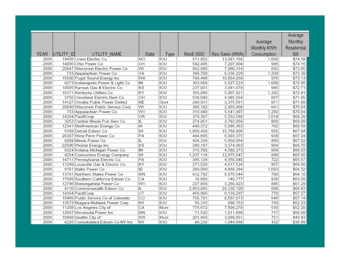|              |            |                                                |           |            |                    |                         |              | Average            |
|--------------|------------|------------------------------------------------|-----------|------------|--------------------|-------------------------|--------------|--------------------|
|              |            |                                                |           |            |                    |                         | Average      | Monthly            |
|              |            |                                                |           |            |                    |                         | Monthly KWH  | Residential        |
| <b>YEAR</b>  |            |                                                | State     |            |                    |                         |              | Bill               |
|              | UTILITY ID | UTILITY NAME                                   |           | Type       | Res\$ (000)        | Res Sales (MWh)         | Consumption  |                    |
| 2006<br>2006 |            | 19436 Union Electric Co<br>14006 Ohio Power Co | MО<br>OH  | IOU<br>IOU | 911,002<br>542,405 | 13,081,168<br>7,207,804 | 1,068<br>986 | \$74.39<br>\$74.16 |
| 2006         |            | 20847 Wisconsin Electric Power Co              | WI        | IOU        | 852,990            | 7,990,314               | 692          | \$73.85            |
| 2006         |            | 733 Appalachian Power Co                       | VA        | IOU        | 384,700            | 6,336,229               | 1,209        | \$73.39            |
| 2006         |            | 15500 Puget Sound Energy Inc                   | WA        | IOU        | 798,498            | 10,654,059              | 976          | \$73.13            |
| 2006         |            | 9273 Indianapolis Power & Light Co             | IN        | IOU        | 363,668            | 5,027,223               | 1,008        | \$72.95            |
| 2006         |            | 10005 Kansas Gas & Electric Co                 | KS        | IOU        | 237,001            | 3,081,078               | 945          | \$72.71            |
| 2006         |            | 10171 Kentucky Utilities Co                    | KY        | IOU        | 355,896            | 5,907,821               | 1,202        | \$72.41            |
| 2006         |            | 3755 Cleveland Electric Illum Co               | OH        | IOU        | 538,040            | 4,985,554               | 667          | \$71.95            |
| 2006         |            | 14127 Omaha Public Power District              | <b>NE</b> | Govt       | 249,931            | 3,375,561               | 971          | \$71.89            |
| 2006         |            | 20860 Wisconsin Public Service Corp            | WI        | IOU        | 306,182            | 2,803,458               | 641          | \$70.04            |
| 2006         |            | 733 Appalachian Power Co                       | WV        | IOU        | 310,440            | 5,541,907               | 1,250        | \$70.04            |
| 2006         |            | 14354 PacifiCorp                               | OR        | IOU        | 379,367            | 5,553,588               | 1,014        | \$69.28            |
| 2006         |            | 3253 Central Illinois Pub Serv Co              | IL        | IOU        | 274,851            | 3,783,958               | 950          | \$68.99            |
| 2006         |            | 12341 MidAmerican Energy Co                    | IA        | IOU        | 440,372            | 5,086,363               | 792          | \$68.59            |
| 2006         |            | 5109 Detroit Edison Co                         | MІ        | IOU        | 1,609,458          | 15,768,800              | 665          | \$67.84            |
| 2006         |            | 20387 West Penn Power Co                       | PA        | IOU        | 494.665            | 6,903,375               | 938          | \$67.24            |
| 2006         |            | 9208 Illinois Power Co                         | IL        | IOU        | 436,336            | 5,658,054               | 869          | \$67.02            |
| 2006         |            | 22500 Westar Energy Inc                        | KS        | IOU        | 249,107            | 3,374,963               | 904          | \$66.70            |
| 2006         |            | 9324 Indiana Michigan Power Co                 | IN        | IOU        | 315,780            | 4,580,373               | 958          | \$66.03            |
| 2006         |            | 4254 Consumers Energy Company                  | MI        | IOU        | 1,237,118          | 12,975,047              | 689          | \$65.66            |
| 2006         |            | 14711 Pennsylvania Electric Co                 | PA        | IOU        | 395,124            | 4,350,840               | 722          | \$65.57            |
| 2006         |            | 11249 Louisville Gas & Electric Co             | KY        | IOU        | 271,520            | 4,017,524               | 957          | \$64.68            |
| 2006         |            | 9191 Idaho Power Co                            | ID        | IOU        | 289,069            | 4,868,384               | 1,083        | \$64.32            |
| 2006         |            | 13781 Northern States Power Co                 | MN        | IOU        | 812,792            | 8,876,544               | 700          | \$64.10            |
| 2006         |            | 17609 Southern California Edison Co            | СA        | IOU        | 10,669             | 140,777                 | 839          | \$63.58            |
| 2006         |            | 12796 Monongahela Power Co                     | WV        | IOU        | 237,858            | 3,280,823               | 845          | \$61.29            |
| 2006         |            | 4110 Commonwealth Edison Co                    | IL        | IOU        | 2,453,065          | 28,330,120              | 698          | \$60.43            |
| 2006         |            | 14354 PacifiCorp                               | UT        | IOU        | 458,966            | 6,139,297               | 770          | \$57.57            |
| 2006         |            | 15466 Public Service Co of Colorado            | CO        | IOU        | 756,701            | 8,557,673               | 646          | \$57.14            |
| 2006         |            | 13573 Niagara Mohawk Power Corp                | <b>NY</b> | IOU        | 59,310             | 898,753                 | 793          | \$52.33            |
| 2006         |            | 11208 Los Angeles City of                      | CA        | Muni       | 778,672            | 7,609,278               | 510          | \$52.20            |
| 2006         |            | 12647 Minnesota Power Inc                      | MN        | IOU        | 71,520             | 1,011,699               | 717          | \$50.68            |
| 2006         |            | 16868 Seattle City of                          | WA        | Muni       | 201,450            | 3,060,651               | 751          | \$49.43            |
| 2006         |            | 4226 Consolidated Edison Co-NY Inc             | NY        | IOU        | 89,238             | 1,044,698               | 432          | \$36.88            |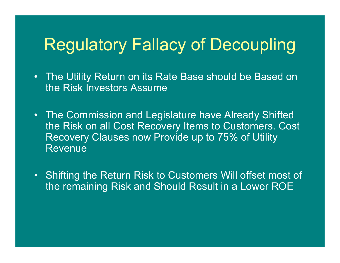### Regulatory Fallacy of Decoupling

- The Utility Return on its Rate Base should be Based on the Risk Investors Assume
- The Commission and Legislature have Already Shifted the Risk on all Cost Recovery Items to Customers. Cost Recovery Clauses now Provide up to 75% of Utility Revenue
- Shifting the Return Risk to Customers Will offset most of the remaining Risk and Should Result in a Lower ROE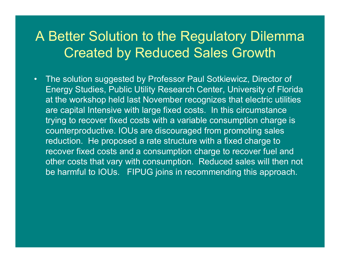#### A Better Solution to the Regulatory Dilemma Created by Reduced Sales Growth

• The solution suggested by Professor Paul Sotkiewicz, Director of Energy Studies, Public Utility Research Center, University of Florida at the workshop held last November recognizes that electric utilities are capital Intensive with large fixed costs. In this circumstance trying to recover fixed costs with a variable consumption charge is counterproductive. IOUs are discouraged from promoting sales reduction. He proposed a rate structure with a fixed charge to recover fixed costs and a consumption charge to recover fuel and other costs that vary with consumption. Reduced sales will then not be harmful to IOUs. FIPUG joins in recommending this approach.